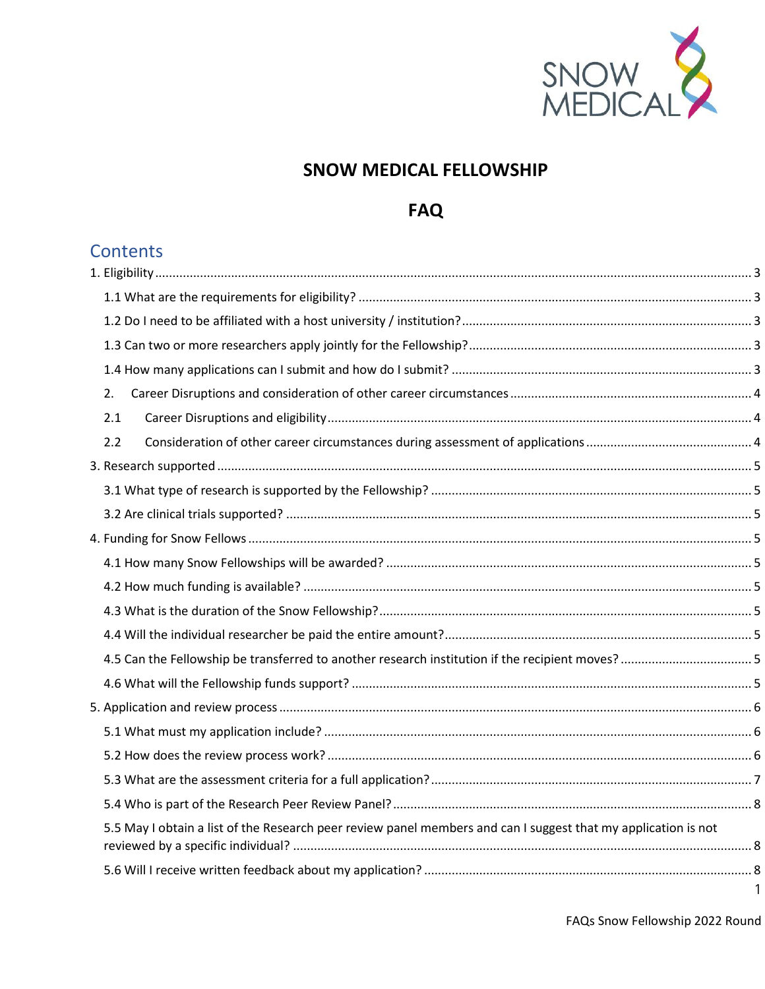

# **SNOW MEDICAL FELLOWSHIP**

## **FAQ**

# **Contents**

| 2.                                                                                                             |  |
|----------------------------------------------------------------------------------------------------------------|--|
| 2.1                                                                                                            |  |
| 2.2                                                                                                            |  |
|                                                                                                                |  |
|                                                                                                                |  |
|                                                                                                                |  |
|                                                                                                                |  |
|                                                                                                                |  |
|                                                                                                                |  |
|                                                                                                                |  |
|                                                                                                                |  |
|                                                                                                                |  |
|                                                                                                                |  |
|                                                                                                                |  |
|                                                                                                                |  |
|                                                                                                                |  |
|                                                                                                                |  |
|                                                                                                                |  |
| 5.5 May I obtain a list of the Research peer review panel members and can I suggest that my application is not |  |
|                                                                                                                |  |
|                                                                                                                |  |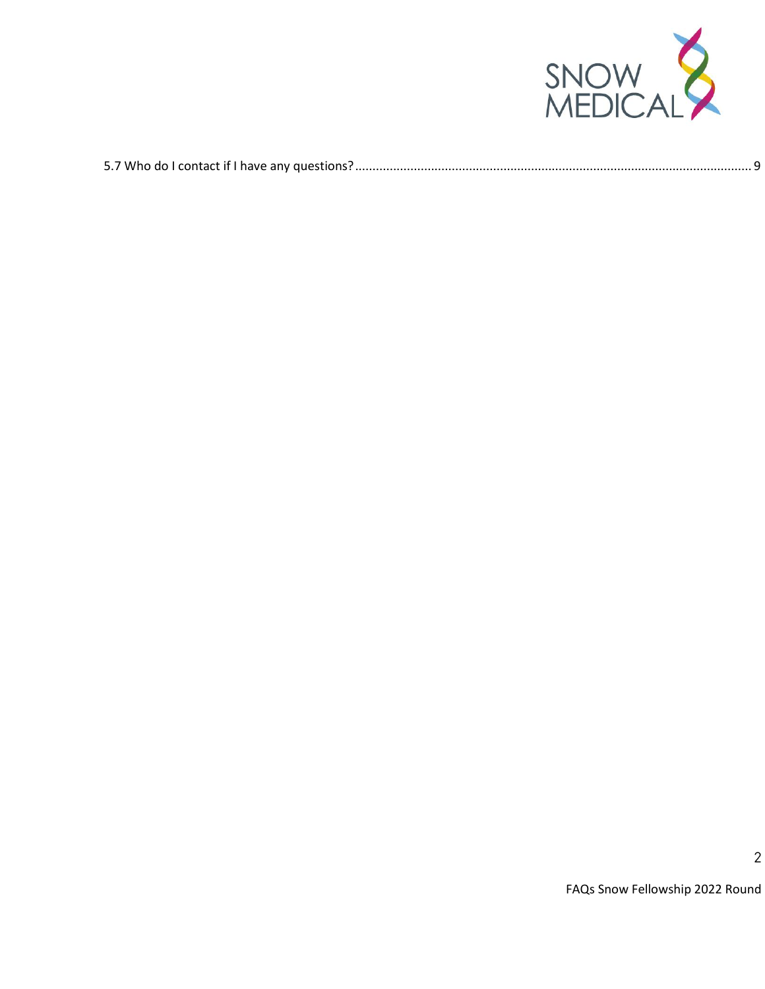

|--|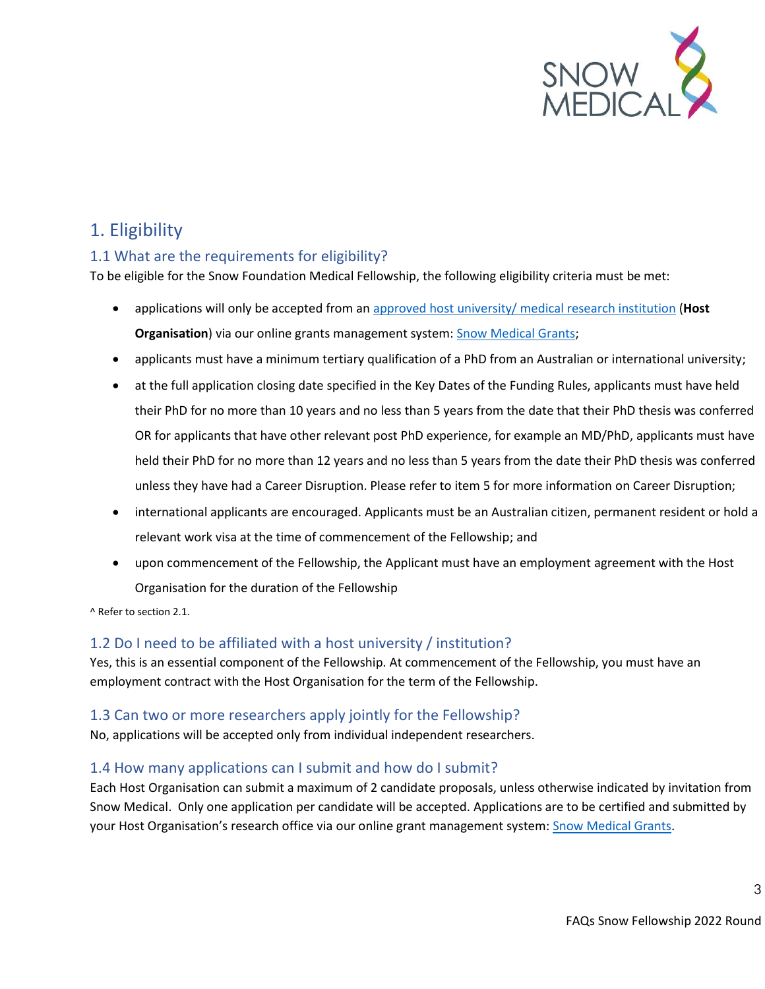

# <span id="page-2-0"></span>1. Eligibility

#### <span id="page-2-1"></span>1.1 What are the requirements for eligibility?

To be eligible for the Snow Foundation Medical Fellowship, the following eligibility criteria must be met:

- applications will only be accepted from a[n approved host university/ medical research institution](https://snowmedical.org.au/wp-content/uploads/2022/01/Eligible-Host-Organisations-FINAL-2022.pdf) (**Host Organisation**) via our online grants management system[: Snow Medical Grants;](https://grants.snowmedical.org.au/)
- applicants must have a minimum tertiary qualification of a PhD from an Australian or international university;
- at the full application closing date specified in the Key Dates of the Funding Rules, applicants must have held their PhD for no more than 10 years and no less than 5 years from the date that their PhD thesis was conferred OR for applicants that have other relevant post PhD experience, for example an MD/PhD, applicants must have held their PhD for no more than 12 years and no less than 5 years from the date their PhD thesis was conferred unless they have had a Career Disruption. Please refer to item 5 for more information on Career Disruption;
- international applicants are encouraged. Applicants must be an Australian citizen, permanent resident or hold a relevant work visa at the time of commencement of the Fellowship; and
- upon commencement of the Fellowship, the Applicant must have an employment agreement with the Host Organisation for the duration of the Fellowship

^ Refer to section 2.1.

#### <span id="page-2-2"></span>1.2 Do I need to be affiliated with a host university / institution?

Yes, this is an essential component of the Fellowship. At commencement of the Fellowship, you must have an employment contract with the Host Organisation for the term of the Fellowship.

#### <span id="page-2-3"></span>1.3 Can two or more researchers apply jointly for the Fellowship?

No, applications will be accepted only from individual independent researchers.

#### <span id="page-2-4"></span>1.4 How many applications can I submit and how do I submit?

Each Host Organisation can submit a maximum of 2 candidate proposals, unless otherwise indicated by invitation from Snow Medical. Only one application per candidate will be accepted. Applications are to be certified and submitted by your Host Organisation's research office via our online grant management system[: Snow Medical Grants.](https://grants.snowmedical.org.au/)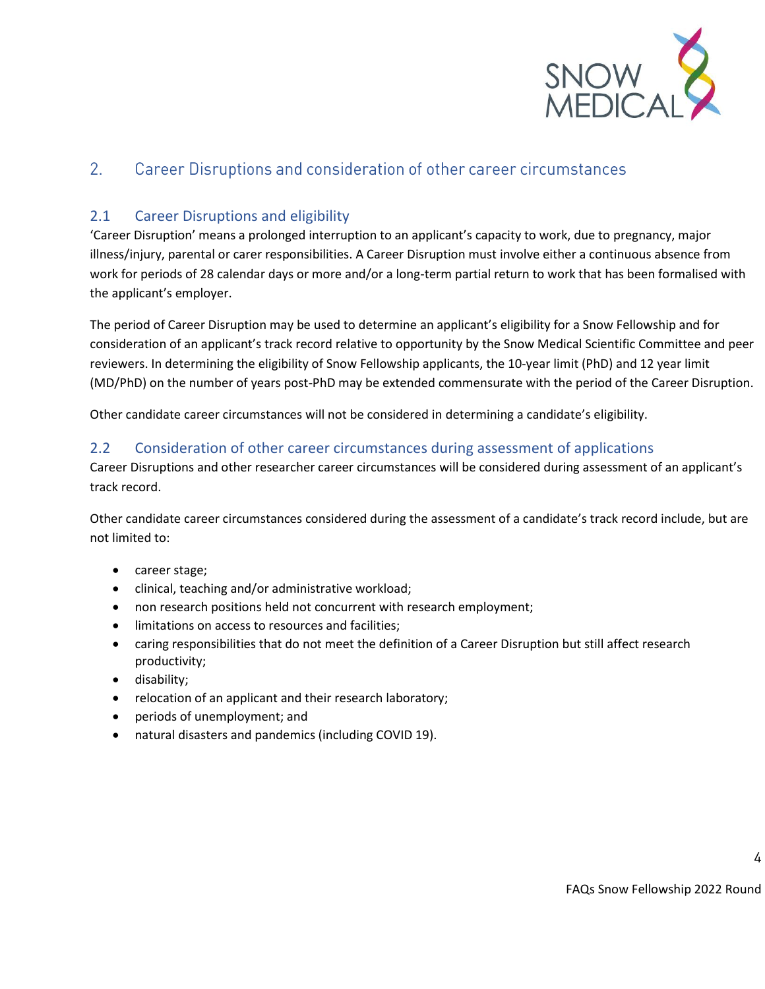

#### <span id="page-3-0"></span> $2.$ Career Disruptions and consideration of other career circumstances

#### <span id="page-3-1"></span>2.1 Career Disruptions and eligibility

'Career Disruption' means a prolonged interruption to an applicant's capacity to work, due to pregnancy, major illness/injury, parental or carer responsibilities. A Career Disruption must involve either a continuous absence from work for periods of 28 calendar days or more and/or a long-term partial return to work that has been formalised with the applicant's employer.

The period of Career Disruption may be used to determine an applicant's eligibility for a Snow Fellowship and for consideration of an applicant's track record relative to opportunity by the Snow Medical Scientific Committee and peer reviewers. In determining the eligibility of Snow Fellowship applicants, the 10-year limit (PhD) and 12 year limit (MD/PhD) on the number of years post-PhD may be extended commensurate with the period of the Career Disruption.

Other candidate career circumstances will not be considered in determining a candidate's eligibility.

#### <span id="page-3-2"></span>2.2 Consideration of other career circumstances during assessment of applications

Career Disruptions and other researcher career circumstances will be considered during assessment of an applicant's track record.

Other candidate career circumstances considered during the assessment of a candidate's track record include, but are not limited to:

- career stage;
- clinical, teaching and/or administrative workload;
- non research positions held not concurrent with research employment;
- limitations on access to resources and facilities;
- caring responsibilities that do not meet the definition of a Career Disruption but still affect research productivity;
- disability;
- relocation of an applicant and their research laboratory;
- periods of unemployment; and
- natural disasters and pandemics (including COVID 19).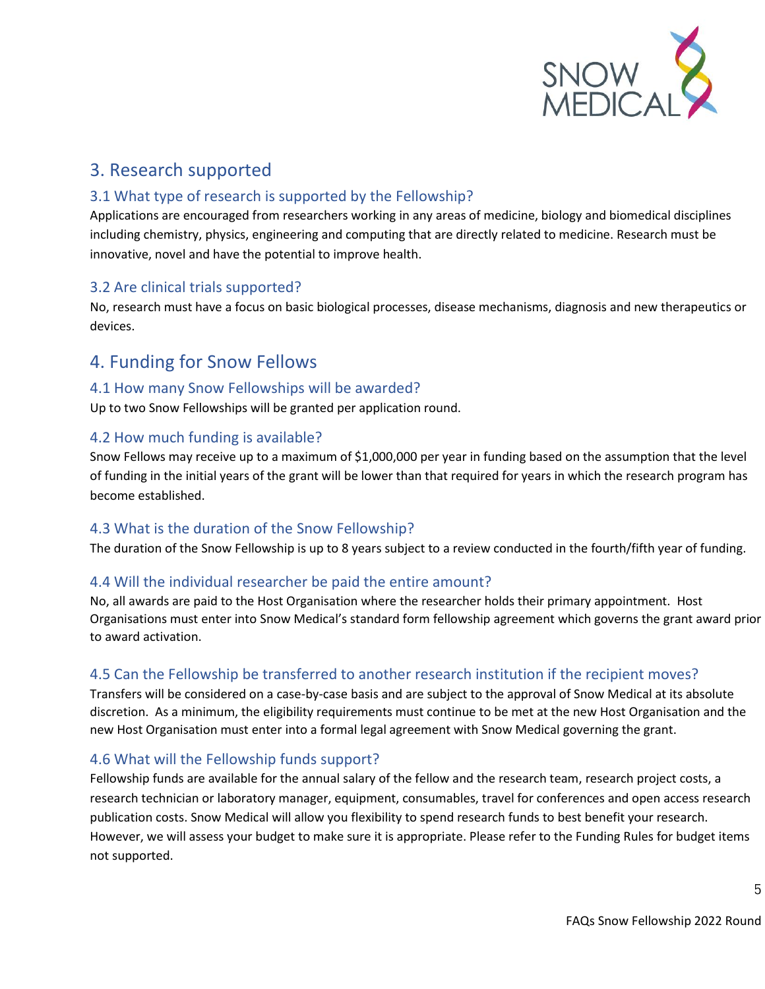

# <span id="page-4-0"></span>3. Research supported

#### <span id="page-4-1"></span>3.1 What type of research is supported by the Fellowship?

Applications are encouraged from researchers working in any areas of medicine, biology and biomedical disciplines including chemistry, physics, engineering and computing that are directly related to medicine. Research must be innovative, novel and have the potential to improve health.

#### <span id="page-4-2"></span>3.2 Are clinical trials supported?

No, research must have a focus on basic biological processes, disease mechanisms, diagnosis and new therapeutics or devices.

### <span id="page-4-3"></span>4. Funding for Snow Fellows

#### <span id="page-4-4"></span>4.1 How many Snow Fellowships will be awarded?

Up to two Snow Fellowships will be granted per application round.

#### <span id="page-4-5"></span>4.2 How much funding is available?

Snow Fellows may receive up to a maximum of \$1,000,000 per year in funding based on the assumption that the level of funding in the initial years of the grant will be lower than that required for years in which the research program has become established.

#### <span id="page-4-6"></span>4.3 What is the duration of the Snow Fellowship?

The duration of the Snow Fellowship is up to 8 years subject to a review conducted in the fourth/fifth year of funding.

#### <span id="page-4-7"></span>4.4 Will the individual researcher be paid the entire amount?

No, all awards are paid to the Host Organisation where the researcher holds their primary appointment. Host Organisations must enter into Snow Medical's standard form fellowship agreement which governs the grant award prior to award activation.

### <span id="page-4-8"></span>4.5 Can the Fellowship be transferred to another research institution if the recipient moves?

Transfers will be considered on a case-by-case basis and are subject to the approval of Snow Medical at its absolute discretion. As a minimum, the eligibility requirements must continue to be met at the new Host Organisation and the new Host Organisation must enter into a formal legal agreement with Snow Medical governing the grant.

#### <span id="page-4-9"></span>4.6 What will the Fellowship funds support?

Fellowship funds are available for the annual salary of the fellow and the research team, research project costs, a research technician or laboratory manager, equipment, consumables, travel for conferences and open access research publication costs. Snow Medical will allow you flexibility to spend research funds to best benefit your research. However, we will assess your budget to make sure it is appropriate. Please refer to the Funding Rules for budget items not supported.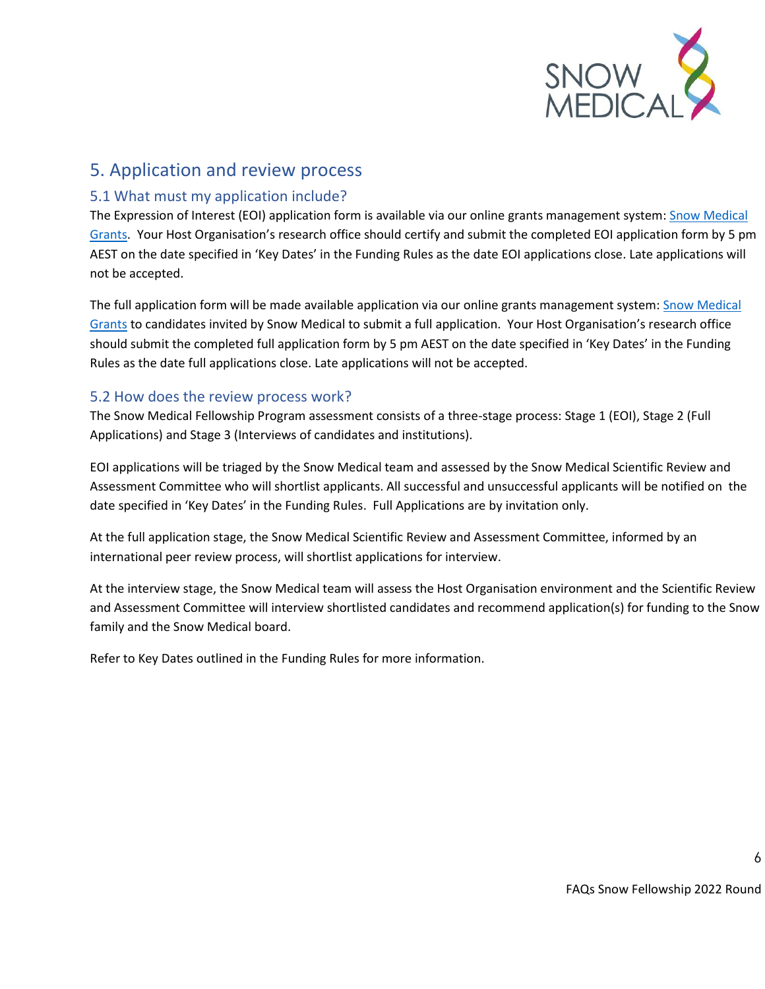

### <span id="page-5-0"></span>5. Application and review process

#### <span id="page-5-1"></span>5.1 What must my application include?

The Expression of Interest (EOI) application form is available via our online grants management system: Snow Medical [Grants.](https://grants.snowmedical.org.au/) Your Host Organisation's research office should certify and submit the completed EOI application form by 5 pm AEST on the date specified in 'Key Dates' in the Funding Rules as the date EOI applications close. Late applications will not be accepted.

The full application form will be made available application via our online grants management system[: Snow Medical](https://grants.snowmedical.org.au/)  [Grants](https://grants.snowmedical.org.au/) to candidates invited by Snow Medical to submit a full application. Your Host Organisation's research office should submit the completed full application form by 5 pm AEST on the date specified in 'Key Dates' in the Funding Rules as the date full applications close. Late applications will not be accepted.

#### <span id="page-5-2"></span>5.2 How does the review process work?

The Snow Medical Fellowship Program assessment consists of a three-stage process: Stage 1 (EOI), Stage 2 (Full Applications) and Stage 3 (Interviews of candidates and institutions).

EOI applications will be triaged by the Snow Medical team and assessed by the Snow Medical Scientific Review and Assessment Committee who will shortlist applicants. All successful and unsuccessful applicants will be notified on the date specified in 'Key Dates' in the Funding Rules. Full Applications are by invitation only.

At the full application stage, the Snow Medical Scientific Review and Assessment Committee, informed by an international peer review process, will shortlist applications for interview.

At the interview stage, the Snow Medical team will assess the Host Organisation environment and the Scientific Review and Assessment Committee will interview shortlisted candidates and recommend application(s) for funding to the Snow family and the Snow Medical board.

Refer to Key Dates outlined in the Funding Rules for more information.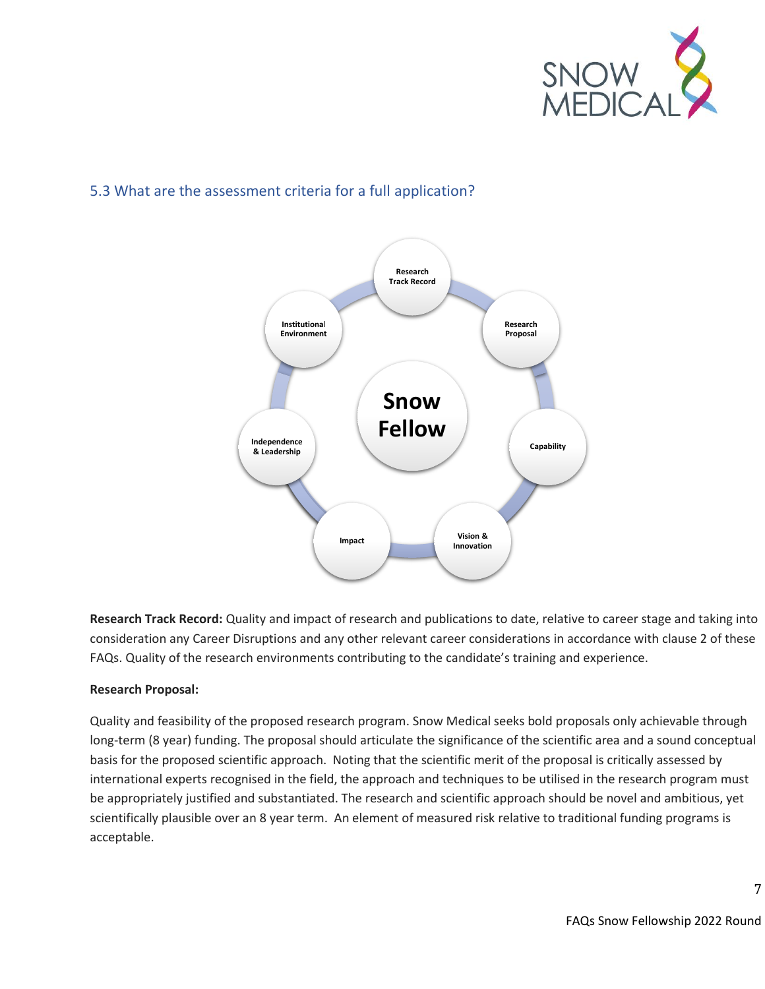

### <span id="page-6-0"></span>5.3 What are the assessment criteria for a full application?



**Research Track Record:** Quality and impact of research and publications to date, relative to career stage and taking into consideration any Career Disruptions and any other relevant career considerations in accordance with clause 2 of these FAQs. Quality of the research environments contributing to the candidate's training and experience.

#### **Research Proposal:**

Quality and feasibility of the proposed research program. Snow Medical seeks bold proposals only achievable through long-term (8 year) funding. The proposal should articulate the significance of the scientific area and a sound conceptual basis for the proposed scientific approach. Noting that the scientific merit of the proposal is critically assessed by international experts recognised in the field, the approach and techniques to be utilised in the research program must be appropriately justified and substantiated. The research and scientific approach should be novel and ambitious, yet scientifically plausible over an 8 year term. An element of measured risk relative to traditional funding programs is acceptable.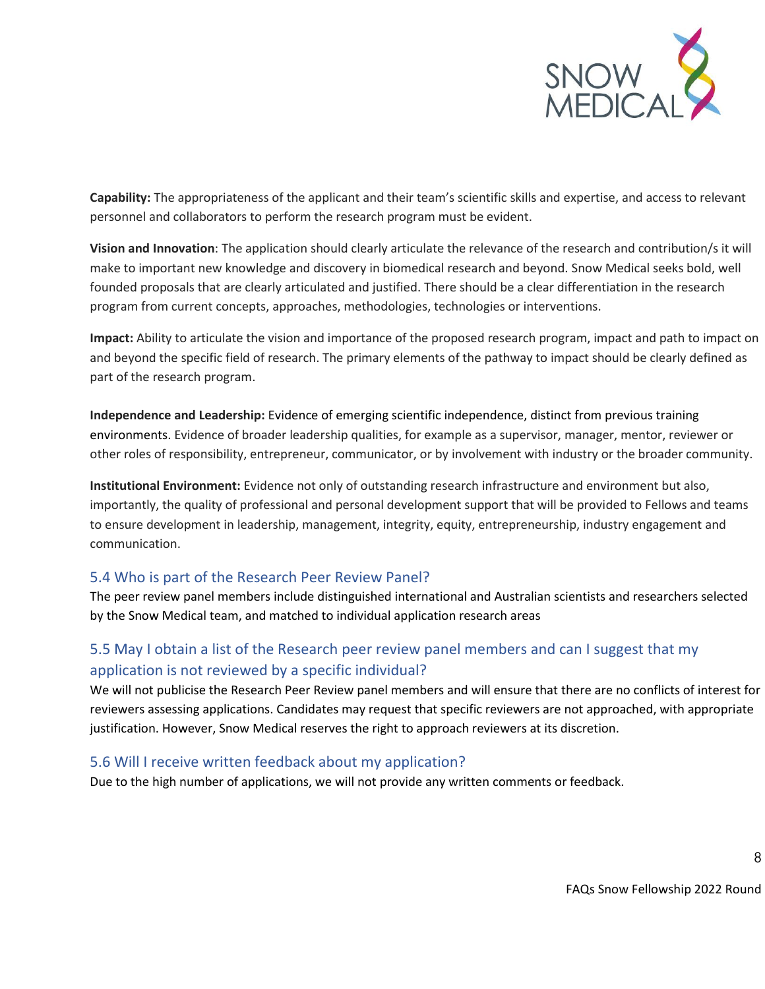

**Capability:** The appropriateness of the applicant and their team's scientific skills and expertise, and access to relevant personnel and collaborators to perform the research program must be evident.

**Vision and Innovation**: The application should clearly articulate the relevance of the research and contribution/s it will make to important new knowledge and discovery in biomedical research and beyond. Snow Medical seeks bold, well founded proposals that are clearly articulated and justified. There should be a clear differentiation in the research program from current concepts, approaches, methodologies, technologies or interventions.

**Impact:** Ability to articulate the vision and importance of the proposed research program, impact and path to impact on and beyond the specific field of research. The primary elements of the pathway to impact should be clearly defined as part of the research program.

**Independence and Leadership:** Evidence of emerging scientific independence, distinct from previous training environments. Evidence of broader leadership qualities, for example as a supervisor, manager, mentor, reviewer or other roles of responsibility, entrepreneur, communicator, or by involvement with industry or the broader community.

**Institutional Environment:** Evidence not only of outstanding research infrastructure and environment but also, importantly, the quality of professional and personal development support that will be provided to Fellows and teams to ensure development in leadership, management, integrity, equity, entrepreneurship, industry engagement and communication.

#### <span id="page-7-0"></span>5.4 Who is part of the Research Peer Review Panel?

The peer review panel members include distinguished international and Australian scientists and researchers selected by the Snow Medical team, and matched to individual application research areas

#### <span id="page-7-1"></span>5.5 May I obtain a list of the Research peer review panel members and can I suggest that my application is not reviewed by a specific individual?

We will not publicise the Research Peer Review panel members and will ensure that there are no conflicts of interest for reviewers assessing applications. Candidates may request that specific reviewers are not approached, with appropriate justification. However, Snow Medical reserves the right to approach reviewers at its discretion.

#### <span id="page-7-2"></span>5.6 Will I receive written feedback about my application?

Due to the high number of applications, we will not provide any written comments or feedback.

FAQs Snow Fellowship 2022 Round